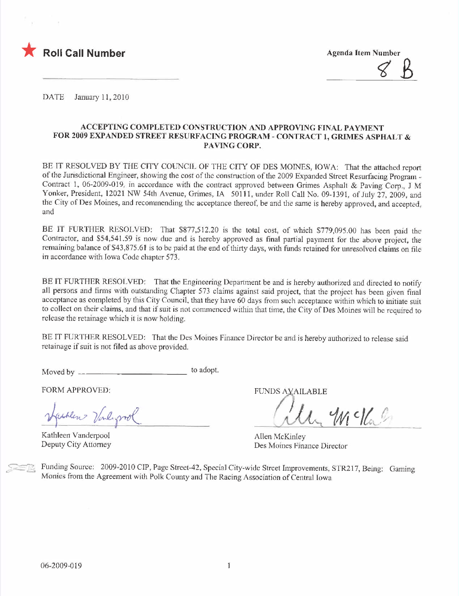

 $8B$ 

DATE January 11,2010

## ACCEPTING COMPLETED CONSTRUCTION AND APPROVING FINAL PAYMENT FOR 2009 EXPANDED STREET RESURFACING PROGRAM - CONTRACT I, GRIMES ASPHALT & PAVING CORP.

BE IT RESOLVED BY THE CITY COUNCIL OF THE CITY OF DES MOINES, IOWA: That the attached report of the Jurisdictional Engineer, showing the cost of the construction of the 2009 Expanded Street Resurfacing Program-Contract 1, 06-2009-019, in accordance with the contract approved between Grimes Asphalt & Paving Corp., J M Yonker, President, 12021 NW 54th Avenue, Grimes, IA 50111, under Roll Call No. 09-1391, of July 27, 2009, and the City of Des Moines, and recommending the acceptance thereof, be and the same is hereby approved, and accepted, and

BE IT FURTHER RESOLVED: That \$877,512.20 is the total cost, of which \$779,095.00 has been paid the Contractor, and \$54,541.59 is now due and is hereby approved as final partial payment for the above project, the remaining balance of \$43,875.61 is to be paid at the end of thirty days, with funds retained for unresolved claims on file in accordance with Iowa Code chapter 573.

BE IT FURTHER RESOLVED: That the Engineering Department be and is hereby authorized and directed to notify al1 persons and firnis with outstanding Chapter 573 claims against said project, that the project has been given final acceptance as completed by this City Council, that they have 60 days from such acceptance within which to initiate suit to col1ect on their claims, and that if suit is not commenced within that time, the City of Des Moines will be required to release the retainage which it is now holding.

BE IT FURTHER RESOLVED: That the Des Moines Finance Director be and is hereby authorized to release said retainage if suit is not filed as above provided.

Moved by to adopt.

FORM APPROVED: FUNDS AVAILABLE

 $g_{\mu\nu}$  ) and groot the contract of  $\mu$  and  $\mu$  class

Kathleen Vanderpool Deputy City Attorney

Allen McKinley Des Moines Finance Director

Funding Source: 2009-2010 CIP, Page Street-42, Special City-wide Street Improvements, STR217, Being: Gaming Monies from the Agreement with Polk County and The Racing Association of Central Iowa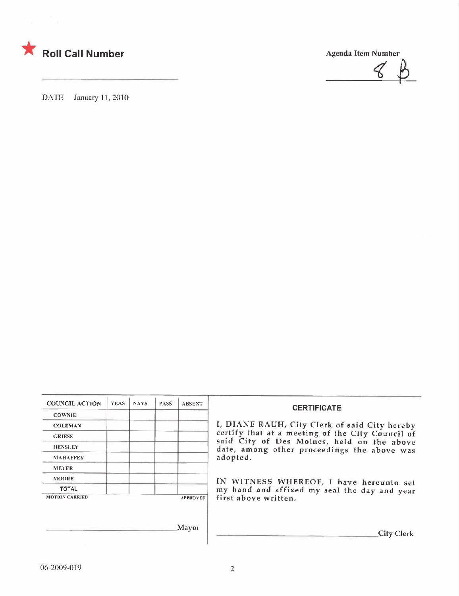

 $\mathcal{C}$ 

DATE January 11, 2010

| <b>COUNCIL ACTION</b> | <b>YEAS</b> | <b>NAYS</b> | PASS <sup>®</sup> | <b>ABSENT</b>   |  |
|-----------------------|-------------|-------------|-------------------|-----------------|--|
| <b>COWNIE</b>         |             |             |                   |                 |  |
| <b>COLEMAN</b>        |             |             |                   |                 |  |
| <b>GRIESS</b>         |             |             |                   |                 |  |
| <b>HENSLEY</b>        |             |             |                   |                 |  |
| <b>MAHAFFEY</b>       |             |             |                   |                 |  |
| <b>MEYER</b>          |             |             |                   |                 |  |
| <b>MOORE</b>          |             |             |                   |                 |  |
| <b>TOTAL</b>          |             |             |                   |                 |  |
| <b>MOTION CARRIED</b> |             |             |                   | <b>APPROVED</b> |  |

Mayor

## CERTIFICATE

I, DIANE RAUH, City Clerk of said City hereby GRIESS certify that at a meeting of the City Council of said City of Des Moines, held on the above date, among other proceedings the above was adopted.

 $\overline{\phantom{a}}$  IN WITNESS WHEREOF, I have hereunto set TOTAL **the contract of the contract of the contract of the contract of the contract of the contract of the contract of the day and year** first above written.

**City Clerk**